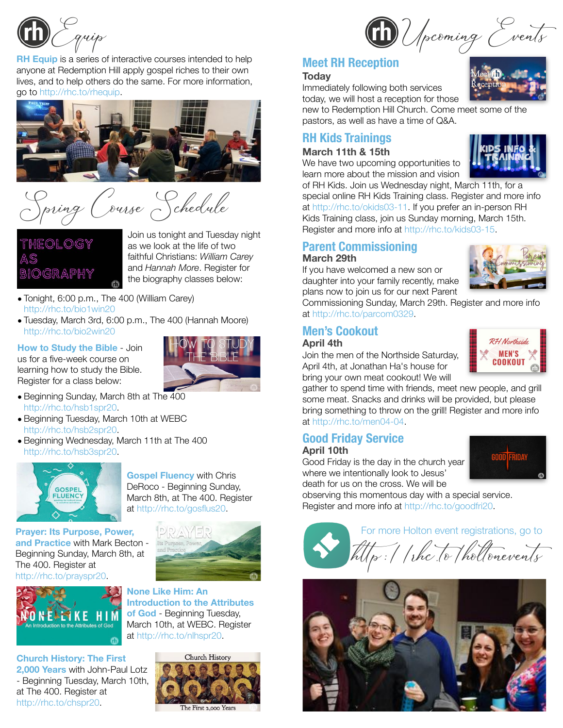

**RH Equip** is a series of interactive courses intended to help anyone at Redemption Hill apply gospel riches to their own lives, and to help others do the same. For more information, go to<http://rhc.to/rhequip>.



Spring Course Schedule

THEOLOGY **NOGRAPHY**  Join us tonight and Tuesday night as we look at the life of two faithful Christians: *William Carey* and *Hannah More*. Register for the biography classes below:

- Tonight, 6:00 p.m., The 400 (William Carey) [http://rhc.to/bio1win20](http://rhc.to/cbrfall19)
- Tuesday, March 3rd, 6:00 p.m., The 400 (Hannah Moore) [http://rhc.to/bio2win20](http://rhc.to/cbrfall19)

**How to Study the Bible** - Join us for a five-week course on learning how to study the Bible. Register for a class below:



- Beginning Sunday, March 8th at The 400 <http://rhc.to/hsb1spr20>.
- Beginning Tuesday, March 10th at WEBC <http://rhc.to/hsb2spr20>.
- Beginning Wednesday, March 11th at The 400 <http://rhc.to/hsb3spr20>.



**Gospel Fluency** with Chris DeRoco - Beginning Sunday, March 8th, at The 400. Register at <http://rhc.to/gosflus20>.

**Prayer: Its Purpose, Power, and Practice** with Mark Becton - Beginning Sunday, March 8th, at The 400. Register at [http://rhc.to/prayspr20.](http://rhc.to/prayspr20)



**Church History: The First 2,000 Years** with John-Paul Lotz - Beginning Tuesday, March 10th, at The 400. Register at <http://rhc.to/chspr20>.



**None Like Him: An Introduction to the Attributes of God** - Beginning Tuesday, March 10th, at WEBC. Register at <http://rhc.to/nlhspr20>.



### **Meet RH Reception**

#### **Today**

Immediately following both services today, we will host a reception for those

new to Redemption Hill Church. Come meet some of the pastors, as well as have a time of Q&A.

## **RH Kids Trainings**

#### **March 11th & 15th**

We have two upcoming opportunities to learn more about the mission and vision



of RH Kids. Join us Wednesday night, March 11th, for a special online RH Kids Training class. Register and more info

at [http://rhc.to/okids03-11.](http://rhc.to/okids03-11) If you prefer an in-person RH Kids Training class, join us Sunday morning, March 15th. Register and more info at [http://rhc.to/kids03-15.](http://rhc.to/kids03-15)

#### **Parent Commissioning March 29th**

If you have welcomed a new son or daughter into your family recently, make plans now to join us for our next Parent

Commissioning Sunday, March 29th. Register and more info at [http://rhc.to/parcom0329.](http://rhc.to/parcom0329)

# **Men's Cookout**

## **April 4th**

Join the men of the Northside Saturday, April 4th, at Jonathan Ha's house for bring your own meat cookout! We will



gather to spend time with friends, meet new people, and grill some meat. Snacks and drinks will be provided, but please bring something to throw on the grill! Register and more info at [http://rhc.to/men04-04.](http://rhc.to/men04-04)

### **Good Friday Service April 10th**

Good Friday is the day in the church year where we intentionally look to Jesus' death for us on the cross. We will be

observing this momentous day with a special service. Register and more info at http://rhc.to/goodfri20.



h!p://rhc. to/holtonevents For more Holton event registrations, go to



Upcoming Events